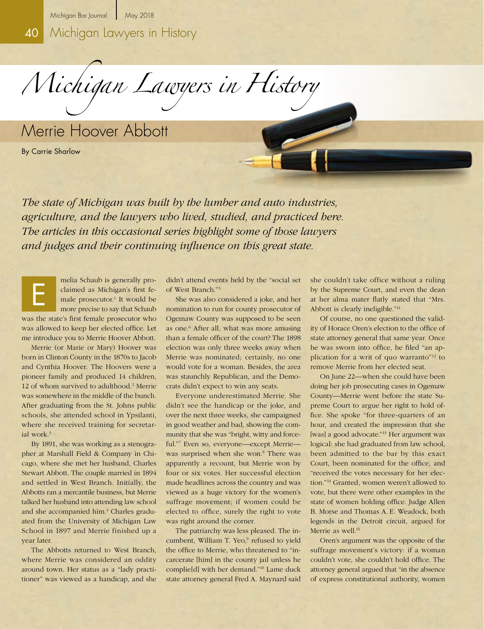*Michigan Lawyers in History* 

Merrie Hoover Abbott

By Carrie Sharlow

*The state of Michigan was built by the lumber and auto industries, agriculture, and the lawyers who lived, studied, and practiced here. The articles in this occasional series highlight some of those lawyers and judges and their continuing influence on this great state.*

melia Schaub is generally proclaimed as Michigan's first female prosecutor.<sup>1</sup> It would be more precise to say that Schaub was the state's first female prosecutor who was allowed to keep her elected office. Let me introduce you to Merrie Hoover Abbott. E

Merrie (or Marie or Mary) Hoover was born in Clinton County in the 1870s to Jacob and Cynthia Hoover. The Hoovers were a pioneer family and produced 14 children, 12 of whom survived to adulthood.2 Merrie was somewhere in the middle of the bunch. After graduating from the St. Johns public schools, she attended school in Ypsilanti, where she received training for secretarial work.3

By 1891, she was working as a stenographer at Marshall Field & Company in Chicago, where she met her husband, Charles Stewart Abbott. The couple married in 1894 and settled in West Branch. Initially, the Abbotts ran a mercantile business, but Merrie talked her husband into attending law school and she accompanied him.<sup>4</sup> Charles graduated from the University of Michigan Law School in 1897 and Merrie finished up a year later.

The Abbotts returned to West Branch, where Merrie was considered an oddity around town. Her status as a "lady practitioner" was viewed as a handicap, and she

didn't attend events held by the "social set of West Branch."5

She was also considered a joke, and her nomination to run for county prosecutor of Ogemaw County was supposed to be seen as one.6 After all, what was more amusing than a female officer of the court? The 1898 election was only three weeks away when Merrie was nominated; certainly, no one would vote for a woman. Besides, the area was staunchly Republican, and the Democrats didn't expect to win any seats.

Everyone underestimated Merrie. She didn't see the handicap or the joke, and over the next three weeks, she campaigned in good weather and bad, showing the community that she was "bright, witty and forceful."7 Even so, everyone—except Merrie was surprised when she won.<sup>8</sup> There was apparently a recount, but Merrie won by four or six votes. Her successful election made headlines across the country and was viewed as a huge victory for the women's suffrage movement; if women could be elected to office, surely the right to vote was right around the corner.

The patriarchy was less pleased. The incumbent, William T. Yeo,<sup>9</sup> refused to yield the office to Merrie, who threatened to "incarcerate [him] in the county jail unless he complie[d] with her demand."10 Lame duck state attorney general Fred A. Maynard said

she couldn't take office without a ruling by the Supreme Court, and even the dean at her alma mater flatly stated that "Mrs. Abbott is clearly ineligible."11

Of course, no one questioned the validity of Horace Oren's election to the office of state attorney general that same year. Once he was sworn into office, he filed "an application for a writ of quo warranto"12 to remove Merrie from her elected seat.

On June 22—when she could have been doing her job prosecuting cases in Ogemaw County—Merrie went before the state Supreme Court to argue her right to hold office. She spoke "for three-quarters of an hour, and created the impression that she [was] a good advocate."13 Her argument was logical: she had graduated from law school, been admitted to the bar by this exact Court, been nominated for the office, and "received the votes necessary for her election."14 Granted, women weren't allowed to vote, but there were other examples in the state of women holding office. Judge Allen B. Morse and Thomas A. E. Weadock, both legends in the Detroit circuit, argued for Merrie as well.<sup>15</sup>

Oren's argument was the opposite of the suffrage movement's victory: if a woman couldn't vote, she couldn't hold office. The attorney general argued that "in the absence of express constitutional authority, women